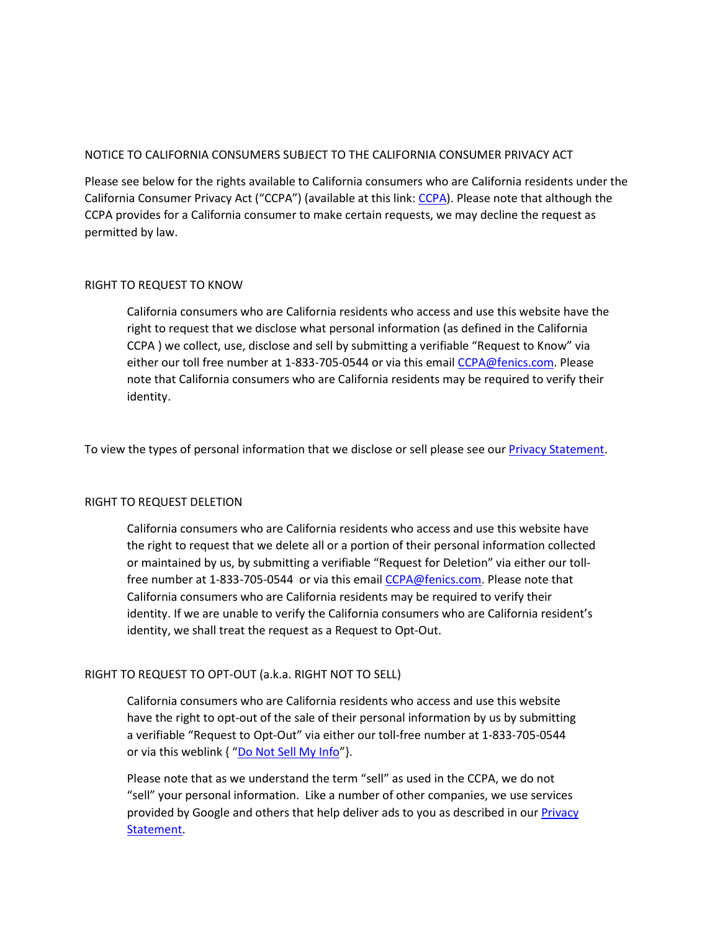## NOTICE TO CALIFORNIA CONSUMERS SUBJECT TO THE CALIFORNIA CONSUMER PRIVACY ACT

Please see below for the rights available to California consumers who are California residents under the California Consumer Privacy Act ("CCPA") (available at this link: [CCPA\)](https://leginfo.legislature.ca.gov/faces/billTextClient.xhtml?bill_id=201720180AB375). Please note that although the CCPA provides for a California consumer to make certain requests, we may decline the request as permitted by law.

### RIGHT TO REQUEST TO KNOW

California consumers who are California residents who access and use this website have the right to request that we disclose what personal information (as defined in the California CCPA ) we collect, use, disclose and sell by submitting a verifiable "Request to Know" via either our toll free number at 1-833-705-0544 or via this email [CCPA@fenics.com.](mailto:CCPA@fenics.com) Please note that California consumers who are California residents may be required to verify their identity.

To view the types of personal information that we disclose or sell please see our *Privacy Statement*.

### RIGHT TO REQUEST DELETION

California consumers who are California residents who access and use this website have the right to request that we delete all or a portion of their personal information collected or maintained by us, by submitting a verifiable "Request for Deletion" via either our tollfree number at 1-833-705-0544 or via this emai[l CCPA@fenics.com.](mailto:CCPA@fenics.com) Please note that California consumers who are California residents may be required to verify their identity. If we are unable to verify the California consumers who are California resident's identity, we shall treat the request as a Request to Opt-Out.

# RIGHT TO REQUEST TO OPT-OUT (a.k.a. RIGHT NOT TO SELL)

California consumers who are California residents who access and use this website have the right to opt-out of the sale of their personal information by us by submitting a verifiable "Request to Opt-Out" via either our toll-free number at 1-833-705-0544 or via this weblink { "[Do Not Sell My Info](mailto:CCPA@fenics.com)"}.

Please note that as we understand the term "sell" as used in the CCPA, we do not "sell" your personal information. Like a number of other companies, we use services provided by Google and others that help deliver ads to you as described in our Privacy [Statement.](/privacy-statement/)